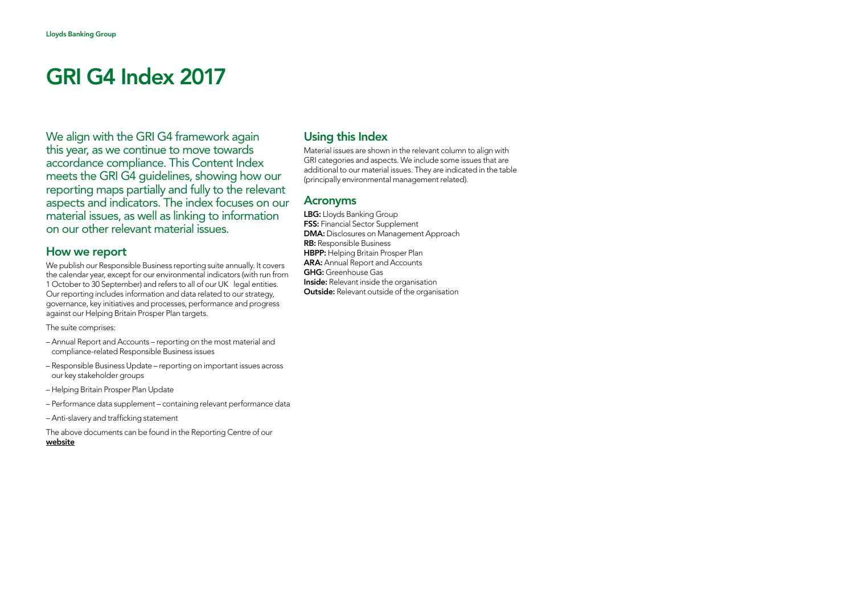We align with the GRI G4 framework again this year, as we continue to move towards accordance compliance. This Content Index meets the GRI G4 guidelines, showing how our reporting maps partially and fully to the relevant aspects and indicators. The index focuses on our material issues, as well as linking to information on our other relevant material issues.

#### How we report

We publish our Responsible Business reporting suite annually. It covers the calendar year, except for our environmental indicators (with run from 1 October to 30 September) and refers to all of our UK legal entities. Our reporting includes information and data related to our strategy, governance, key initiatives and processes, performance and progress against our Helping Britain Prosper Plan targets.

The suite comprises:

- Annual Report and Accounts reporting on the most material and compliance-related Responsible Business issues
- Responsible Business Update reporting on important issues across our key stakeholder groups
- Helping Britain Prosper Plan Update
- Performance data supplement containing relevant performance data
- Anti-slavery and trafficking statement

The above documents can be found in the Reporting Centre of our [website](www.lloydsbankinggroup.com/our-group/responsible-business/reporting-centre/)

#### Using this Index

Material issues are shown in the relevant column to align with GRI categories and aspects. We include some issues that are additional to our material issues. They are indicated in the table (principally environmental management related).

#### Acronyms

LBG: Lloyds Banking Group **FSS:** Financial Sector Supplement DMA: Disclosures on Management Approach RB: Responsible Business HBPP: Helping Britain Prosper Plan ARA: Annual Report and Accounts GHG: Greenhouse Gas **Inside:** Relevant inside the organisation **Outside:** Relevant outside of the organisation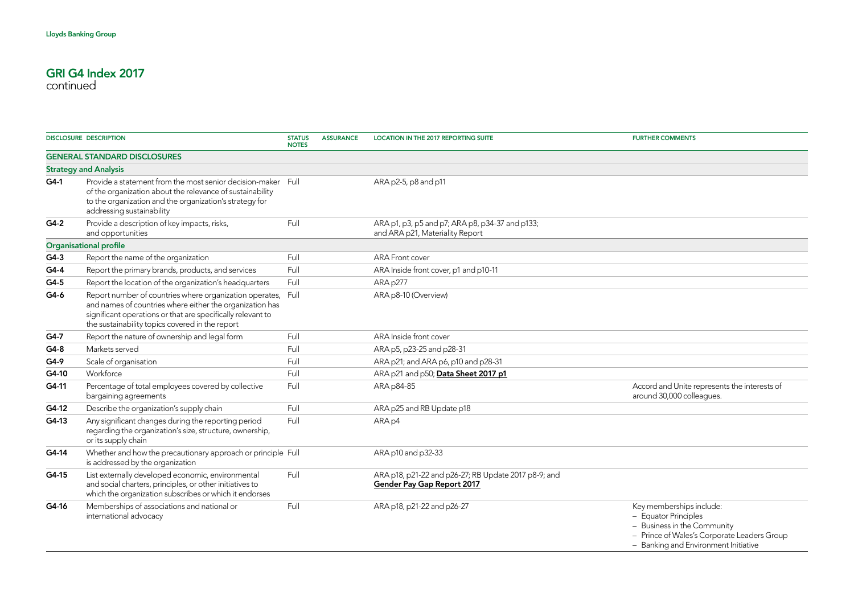|                               | <b>DISCLOSURE DESCRIPTION</b>                                                                                                                                                                                                         | <b>STATUS</b><br><b>NOTES</b> | <b>ASSURANCE</b> | LOCATION IN THE 2017 REPORTING SUITE                                                      | <b>FURTHER COMMENTS</b>                                                                                                                                                |
|-------------------------------|---------------------------------------------------------------------------------------------------------------------------------------------------------------------------------------------------------------------------------------|-------------------------------|------------------|-------------------------------------------------------------------------------------------|------------------------------------------------------------------------------------------------------------------------------------------------------------------------|
|                               | <b>GENERAL STANDARD DISCLOSURES</b>                                                                                                                                                                                                   |                               |                  |                                                                                           |                                                                                                                                                                        |
|                               | <b>Strategy and Analysis</b>                                                                                                                                                                                                          |                               |                  |                                                                                           |                                                                                                                                                                        |
| $G4-1$                        | Provide a statement from the most senior decision-maker Full<br>of the organization about the relevance of sustainability<br>to the organization and the organization's strategy for<br>addressing sustainability                     |                               |                  | ARA p2-5, p8 and p11                                                                      |                                                                                                                                                                        |
| G4-2                          | Provide a description of key impacts, risks,<br>and opportunities                                                                                                                                                                     | Full                          |                  | ARA p1, p3, p5 and p7; ARA p8, p34-37 and p133;<br>and ARA p21, Materiality Report        |                                                                                                                                                                        |
| <b>Organisational profile</b> |                                                                                                                                                                                                                                       |                               |                  |                                                                                           |                                                                                                                                                                        |
| $G4-3$                        | Report the name of the organization                                                                                                                                                                                                   | Full                          |                  | <b>ARA Front cover</b>                                                                    |                                                                                                                                                                        |
| $G4-4$                        | Report the primary brands, products, and services                                                                                                                                                                                     | Full                          |                  | ARA Inside front cover, p1 and p10-11                                                     |                                                                                                                                                                        |
| $G4-5$                        | Report the location of the organization's headquarters                                                                                                                                                                                | Full                          |                  | ARA p277                                                                                  |                                                                                                                                                                        |
| G4-6                          | Report number of countries where organization operates,<br>and names of countries where either the organization has<br>significant operations or that are specifically relevant to<br>the sustainability topics covered in the report | Full                          |                  | ARA p8-10 (Overview)                                                                      |                                                                                                                                                                        |
| G4-7                          | Report the nature of ownership and legal form                                                                                                                                                                                         | Full                          |                  | ARA Inside front cover                                                                    |                                                                                                                                                                        |
| $G4-8$                        | Markets served                                                                                                                                                                                                                        | Full                          |                  | ARA p5, p23-25 and p28-31                                                                 |                                                                                                                                                                        |
| $G4-9$                        | Scale of organisation                                                                                                                                                                                                                 | Full                          |                  | ARA p21; and ARA p6, p10 and p28-31                                                       |                                                                                                                                                                        |
| G4-10                         | Workforce                                                                                                                                                                                                                             | Full                          |                  | ARA p21 and p50; Data Sheet 2017 p1                                                       |                                                                                                                                                                        |
| G4-11                         | Percentage of total employees covered by collective<br>bargaining agreements                                                                                                                                                          | Full                          |                  | ARA p84-85                                                                                | Accord and Unite represents the interests of<br>around 30,000 colleagues.                                                                                              |
| G4-12                         | Describe the organization's supply chain                                                                                                                                                                                              | Full                          |                  | ARA p25 and RB Update p18                                                                 |                                                                                                                                                                        |
| $G4-13$                       | Any significant changes during the reporting period<br>regarding the organization's size, structure, ownership,<br>or its supply chain                                                                                                | Full                          |                  | ARA p4                                                                                    |                                                                                                                                                                        |
| G4-14                         | Whether and how the precautionary approach or principle Full<br>is addressed by the organization                                                                                                                                      |                               |                  | ARA p10 and p32-33                                                                        |                                                                                                                                                                        |
| G4-15                         | List externally developed economic, environmental<br>and social charters, principles, or other initiatives to<br>which the organization subscribes or which it endorses                                                               | Full                          |                  | ARA p18, p21-22 and p26-27; RB Update 2017 p8-9; and<br><b>Gender Pay Gap Report 2017</b> |                                                                                                                                                                        |
| G4-16                         | Memberships of associations and national or<br>international advocacy                                                                                                                                                                 | Full                          |                  | ARA p18, p21-22 and p26-27                                                                | Key memberships include:<br>- Equator Principles<br>- Business in the Community<br>- Prince of Wales's Corporate Leaders Group<br>- Banking and Environment Initiative |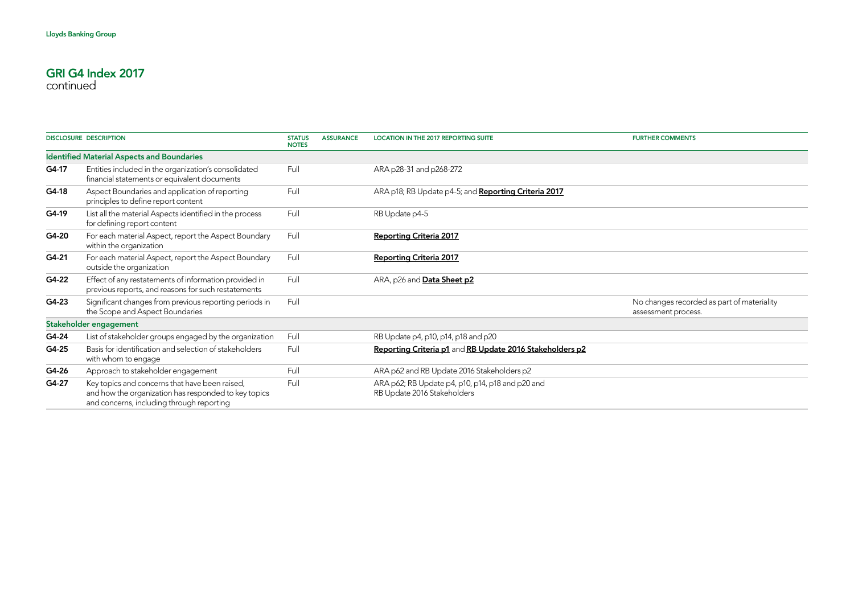|       | <b>DISCLOSURE DESCRIPTION</b>                                                                                                                       | <b>STATUS</b><br><b>NOTES</b> | <b>ASSURANCE</b> | <b>LOCATION IN THE 2017 REPORTING SUITE</b>                                     | <b>FURTHER COMMENTS</b>                                           |
|-------|-----------------------------------------------------------------------------------------------------------------------------------------------------|-------------------------------|------------------|---------------------------------------------------------------------------------|-------------------------------------------------------------------|
|       | <b>Identified Material Aspects and Boundaries</b>                                                                                                   |                               |                  |                                                                                 |                                                                   |
| G4-17 | Entities included in the organization's consolidated<br>financial statements or equivalent documents                                                | Full                          |                  | ARA p28-31 and p268-272                                                         |                                                                   |
| G4-18 | Aspect Boundaries and application of reporting<br>principles to define report content                                                               | Full                          |                  | ARA p18; RB Update p4-5; and Reporting Criteria 2017                            |                                                                   |
| G4-19 | List all the material Aspects identified in the process<br>for defining report content                                                              | Full                          |                  | RB Update p4-5                                                                  |                                                                   |
| G4-20 | For each material Aspect, report the Aspect Boundary<br>within the organization                                                                     | Full                          |                  | <b>Reporting Criteria 2017</b>                                                  |                                                                   |
| G4-21 | For each material Aspect, report the Aspect Boundary<br>outside the organization                                                                    | Full                          |                  | <b>Reporting Criteria 2017</b>                                                  |                                                                   |
| G4-22 | Effect of any restatements of information provided in<br>previous reports, and reasons for such restatements                                        | Full                          |                  | ARA, p26 and Data Sheet p2                                                      |                                                                   |
| G4-23 | Significant changes from previous reporting periods in<br>the Scope and Aspect Boundaries                                                           | Full                          |                  |                                                                                 | No changes recorded as part of materiality<br>assessment process. |
|       | Stakeholder engagement                                                                                                                              |                               |                  |                                                                                 |                                                                   |
| G4-24 | List of stakeholder groups engaged by the organization                                                                                              | Full                          |                  | RB Update p4, p10, p14, p18 and p20                                             |                                                                   |
| G4-25 | Basis for identification and selection of stakeholders<br>with whom to engage                                                                       | Full                          |                  | Reporting Criteria p1 and RB Update 2016 Stakeholders p2                        |                                                                   |
| G4-26 | Approach to stakeholder engagement                                                                                                                  | Full                          |                  | ARA p62 and RB Update 2016 Stakeholders p2                                      |                                                                   |
| G4-27 | Key topics and concerns that have been raised,<br>and how the organization has responded to key topics<br>and concerns, including through reporting | Full                          |                  | ARA p62; RB Update p4, p10, p14, p18 and p20 and<br>RB Update 2016 Stakeholders |                                                                   |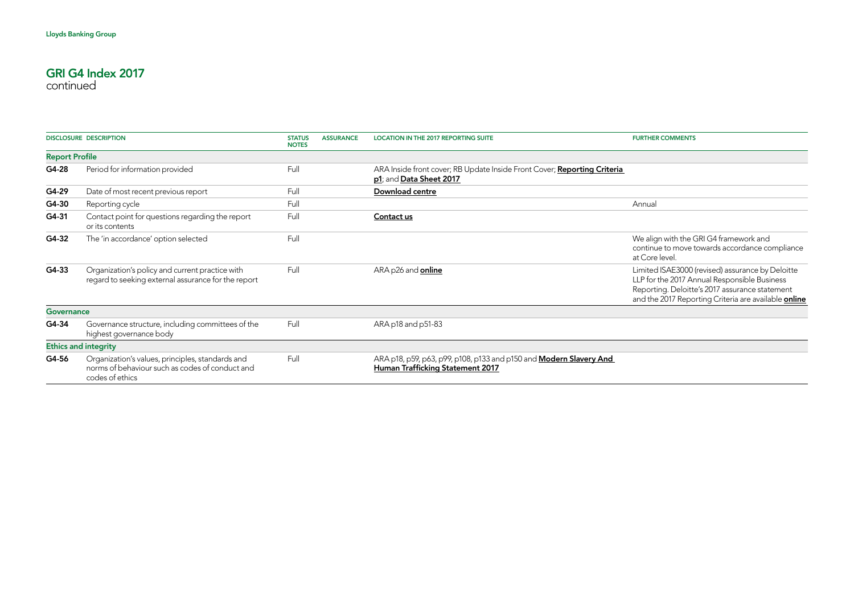|                       | <b>DISCLOSURE DESCRIPTION</b>                                                                                          | <b>STATUS</b><br><b>NOTES</b> | <b>ASSURANCE</b> | <b>LOCATION IN THE 2017 REPORTING SUITE</b>                                                                   | <b>FURTHER COMMENTS</b>                                                                                                                                                                                           |
|-----------------------|------------------------------------------------------------------------------------------------------------------------|-------------------------------|------------------|---------------------------------------------------------------------------------------------------------------|-------------------------------------------------------------------------------------------------------------------------------------------------------------------------------------------------------------------|
| <b>Report Profile</b> |                                                                                                                        |                               |                  |                                                                                                               |                                                                                                                                                                                                                   |
| G4-28                 | Period for information provided                                                                                        | Full                          |                  | ARA Inside front cover; RB Update Inside Front Cover; Reporting Criteria<br>p1; and Data Sheet 2017           |                                                                                                                                                                                                                   |
| G4-29                 | Date of most recent previous report                                                                                    | Full                          |                  | Download centre                                                                                               |                                                                                                                                                                                                                   |
| G4-30                 | Reporting cycle                                                                                                        | Full                          |                  |                                                                                                               | Annual                                                                                                                                                                                                            |
| G4-31                 | Contact point for questions regarding the report<br>or its contents                                                    | Full                          |                  | Contact us                                                                                                    |                                                                                                                                                                                                                   |
| G4-32                 | The 'in accordance' option selected                                                                                    | Full                          |                  |                                                                                                               | We align with the GRI G4 framework and<br>continue to move towards accordance compliance<br>at Core level.                                                                                                        |
| $G4-33$               | Organization's policy and current practice with<br>regard to seeking external assurance for the report                 | Full                          |                  | ARA p26 and online                                                                                            | Limited ISAE3000 (revised) assurance by Deloitte<br>LLP for the 2017 Annual Responsible Business<br>Reporting. Deloitte's 2017 assurance statement<br>and the 2017 Reporting Criteria are available <b>online</b> |
| Governance            |                                                                                                                        |                               |                  |                                                                                                               |                                                                                                                                                                                                                   |
| G4-34                 | Governance structure, including committees of the<br>highest governance body                                           | Full                          |                  | ARA p18 and p51-83                                                                                            |                                                                                                                                                                                                                   |
|                       | <b>Ethics and integrity</b>                                                                                            |                               |                  |                                                                                                               |                                                                                                                                                                                                                   |
| G4-56                 | Organization's values, principles, standards and<br>norms of behaviour such as codes of conduct and<br>codes of ethics | Full                          |                  | ARA p18, p59, p63, p99, p108, p133 and p150 and <b>Modern Slavery And</b><br>Human Trafficking Statement 2017 |                                                                                                                                                                                                                   |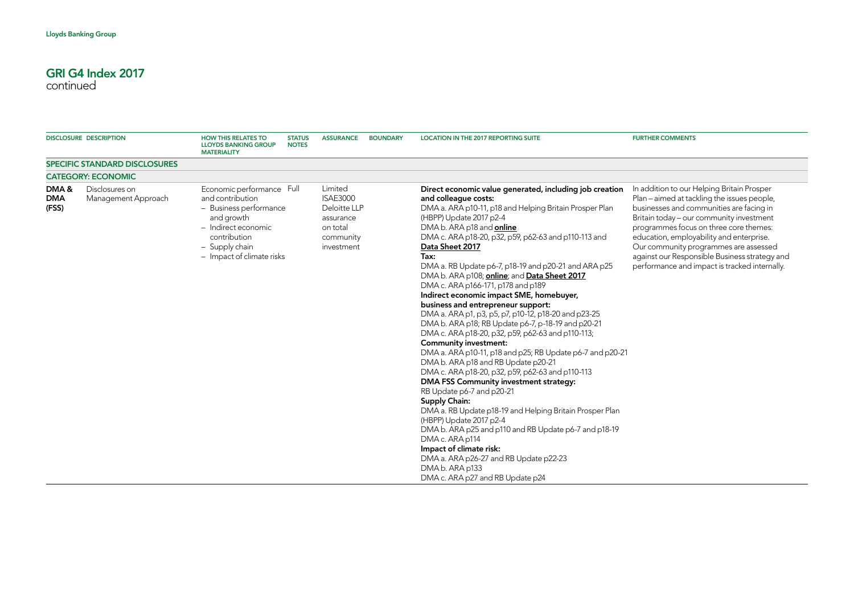| <b>DISCLOSURE DESCRIPTION</b> |                                       | <b>HOW THIS RELATES TO</b><br><b>LLOYDS BANKING GROUP</b><br><b>MATERIALITY</b>                                                                                             | <b>STATUS</b><br><b>NOTES</b> | <b>ASSURANCE</b>                                                                               | <b>BOUNDARY</b> | <b>LOCATION IN THE 2017 REPORTING SUITE</b>                                                                                                                                                                                                                                                                                                                                                                                                                                                                                                                                                                                                                                                                                                                                                                                                                                                                                                                                                                                                                                                                                                                                                                                                                             | <b>FURTHER COMMENTS</b>                                                                                                                                                                                                                                                                                                                                                                                            |
|-------------------------------|---------------------------------------|-----------------------------------------------------------------------------------------------------------------------------------------------------------------------------|-------------------------------|------------------------------------------------------------------------------------------------|-----------------|-------------------------------------------------------------------------------------------------------------------------------------------------------------------------------------------------------------------------------------------------------------------------------------------------------------------------------------------------------------------------------------------------------------------------------------------------------------------------------------------------------------------------------------------------------------------------------------------------------------------------------------------------------------------------------------------------------------------------------------------------------------------------------------------------------------------------------------------------------------------------------------------------------------------------------------------------------------------------------------------------------------------------------------------------------------------------------------------------------------------------------------------------------------------------------------------------------------------------------------------------------------------------|--------------------------------------------------------------------------------------------------------------------------------------------------------------------------------------------------------------------------------------------------------------------------------------------------------------------------------------------------------------------------------------------------------------------|
|                               | <b>SPECIFIC STANDARD DISCLOSURES</b>  |                                                                                                                                                                             |                               |                                                                                                |                 |                                                                                                                                                                                                                                                                                                                                                                                                                                                                                                                                                                                                                                                                                                                                                                                                                                                                                                                                                                                                                                                                                                                                                                                                                                                                         |                                                                                                                                                                                                                                                                                                                                                                                                                    |
|                               | <b>CATEGORY: ECONOMIC</b>             |                                                                                                                                                                             |                               |                                                                                                |                 |                                                                                                                                                                                                                                                                                                                                                                                                                                                                                                                                                                                                                                                                                                                                                                                                                                                                                                                                                                                                                                                                                                                                                                                                                                                                         |                                                                                                                                                                                                                                                                                                                                                                                                                    |
| DMA&<br><b>DMA</b><br>(FSS)   | Disclosures on<br>Management Approach | Economic performance Full<br>and contribution<br>- Business performance<br>and growth<br>- Indirect economic<br>contribution<br>- Supply chain<br>- Impact of climate risks |                               | Limited<br><b>ISAE3000</b><br>Deloitte LLP<br>assurance<br>on total<br>community<br>investment |                 | Direct economic value generated, including job creation<br>and colleague costs:<br>DMA a. ARA p10-11, p18 and Helping Britain Prosper Plan<br>(HBPP) Update 2017 p2-4<br>DMA b. ARA p18 and online<br>DMA c. ARA p18-20, p32, p59, p62-63 and p110-113 and<br>Data Sheet 2017<br>Tax:<br>DMA a. RB Update p6-7, p18-19 and p20-21 and ARA p25<br>DMA b. ARA p108; online; and Data Sheet 2017<br>DMA c. ARA p166-171, p178 and p189<br>Indirect economic impact SME, homebuyer,<br>business and entrepreneur support:<br>DMA a. ARA p1, p3, p5, p7, p10-12, p18-20 and p23-25<br>DMA b. ARA p18; RB Update p6-7, p-18-19 and p20-21<br>DMA c. ARA p18-20, p32, p59, p62-63 and p110-113;<br><b>Community investment:</b><br>DMA a. ARA p10-11, p18 and p25; RB Update p6-7 and p20-21<br>DMA b. ARA p18 and RB Update p20-21<br>DMA c. ARA p18-20, p32, p59, p62-63 and p110-113<br>DMA FSS Community investment strategy:<br>RB Update p6-7 and p20-21<br>Supply Chain:<br>DMA a. RB Update p18-19 and Helping Britain Prosper Plan<br>(HBPP) Update 2017 p2-4<br>DMA b. ARA p25 and p110 and RB Update p6-7 and p18-19<br>DMA c. ARA p114<br>Impact of climate risk:<br>DMA a. ARA p26-27 and RB Update p22-23<br>DMA b. ARA p133<br>DMA c. ARA p27 and RB Update p24 | In addition to our Helping Britain Prosper<br>Plan - aimed at tackling the issues people,<br>businesses and communities are facing in<br>Britain today - our community investment<br>programmes focus on three core themes:<br>education, employability and enterprise.<br>Our community programmes are assessed<br>against our Responsible Business strategy and<br>performance and impact is tracked internally. |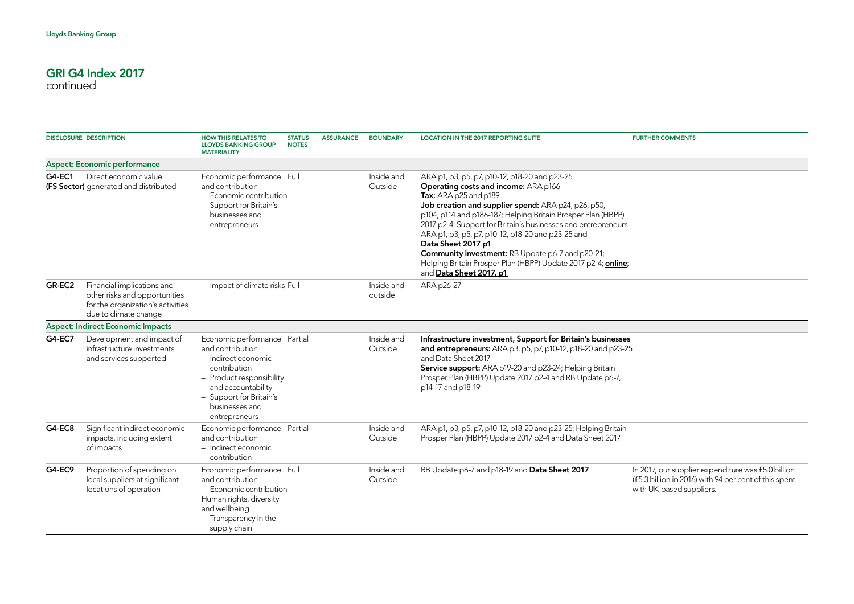|               | <b>DISCLOSURE DESCRIPTION</b>                                                                                             | <b>HOW THIS RELATES TO</b><br><b>LLOYDS BANKING GROUP</b><br><b>MATERIALITY</b>                                                                                                                         | <b>STATUS</b><br><b>NOTES</b> | <b>ASSURANCE</b> | <b>BOUNDARY</b>       | <b>LOCATION IN THE 2017 REPORTING SUITE</b>                                                                                                                                                                                                                                                                                                                                                                                                                                                                                              | <b>FURTHER COMMENTS</b>                                                                                                                 |
|---------------|---------------------------------------------------------------------------------------------------------------------------|---------------------------------------------------------------------------------------------------------------------------------------------------------------------------------------------------------|-------------------------------|------------------|-----------------------|------------------------------------------------------------------------------------------------------------------------------------------------------------------------------------------------------------------------------------------------------------------------------------------------------------------------------------------------------------------------------------------------------------------------------------------------------------------------------------------------------------------------------------------|-----------------------------------------------------------------------------------------------------------------------------------------|
|               | <b>Aspect: Economic performance</b>                                                                                       |                                                                                                                                                                                                         |                               |                  |                       |                                                                                                                                                                                                                                                                                                                                                                                                                                                                                                                                          |                                                                                                                                         |
| G4-EC1        | Direct economic value<br>(FS Sector) generated and distributed                                                            | Economic performance Full<br>and contribution<br>$-$ Economic contribution<br>- Support for Britain's<br>businesses and<br>entrepreneurs                                                                |                               |                  | Inside and<br>Outside | ARA p1, p3, p5, p7, p10-12, p18-20 and p23-25<br>Operating costs and income: ARA p166<br>Tax: ARA p25 and p189<br>Job creation and supplier spend: ARA p24, p26, p50,<br>p104, p114 and p186-187; Helping Britain Prosper Plan (HBPP)<br>2017 p2-4; Support for Britain's businesses and entrepreneurs<br>ARA p1, p3, p5, p7, p10-12, p18-20 and p23-25 and<br>Data Sheet 2017 p1<br><b>Community investment:</b> RB Update p6-7 and p20-21;<br>Helping Britain Prosper Plan (HBPP) Update 2017 p2-4; online;<br>and Data Sheet 2017, p1 |                                                                                                                                         |
| GR-EC2        | Financial implications and<br>other risks and opportunities<br>for the organization's activities<br>due to climate change | - Impact of climate risks Full                                                                                                                                                                          |                               |                  | Inside and<br>outside | ARA p26-27                                                                                                                                                                                                                                                                                                                                                                                                                                                                                                                               |                                                                                                                                         |
|               | <b>Aspect: Indirect Economic Impacts</b>                                                                                  |                                                                                                                                                                                                         |                               |                  |                       |                                                                                                                                                                                                                                                                                                                                                                                                                                                                                                                                          |                                                                                                                                         |
| <b>G4-EC7</b> | Development and impact of<br>infrastructure investments<br>and services supported                                         | Economic performance Partial<br>and contribution<br>- Indirect economic<br>contribution<br>- Product responsibility<br>and accountability<br>- Support for Britain's<br>businesses and<br>entrepreneurs |                               |                  | Inside and<br>Outside | Infrastructure investment, Support for Britain's businesses<br>and entrepreneurs: ARA p3, p5, p7, p10-12, p18-20 and p23-25<br>and Data Sheet 2017<br>Service support: ARA p19-20 and p23-24; Helping Britain<br>Prosper Plan (HBPP) Update 2017 p2-4 and RB Update p6-7,<br>p14-17 and p18-19                                                                                                                                                                                                                                           |                                                                                                                                         |
| <b>G4-EC8</b> | Significant indirect economic<br>impacts, including extent<br>of impacts                                                  | Economic performance Partial<br>and contribution<br>- Indirect economic<br>contribution                                                                                                                 |                               |                  | Inside and<br>Outside | ARA p1, p3, p5, p7, p10-12, p18-20 and p23-25; Helping Britain<br>Prosper Plan (HBPP) Update 2017 p2-4 and Data Sheet 2017                                                                                                                                                                                                                                                                                                                                                                                                               |                                                                                                                                         |
| <b>G4-EC9</b> | Proportion of spending on<br>local suppliers at significant<br>locations of operation                                     | Economic performance Full<br>and contribution<br>$-$ Economic contribution<br>Human rights, diversity<br>and wellbeing<br>- Transparency in the<br>supply chain                                         |                               |                  | Inside and<br>Outside | RB Update p6-7 and p18-19 and Data Sheet 2017                                                                                                                                                                                                                                                                                                                                                                                                                                                                                            | In 2017, our supplier expenditure was £5.0 billion<br>(£5.3 billion in 2016) with 94 per cent of this spent<br>with UK-based suppliers. |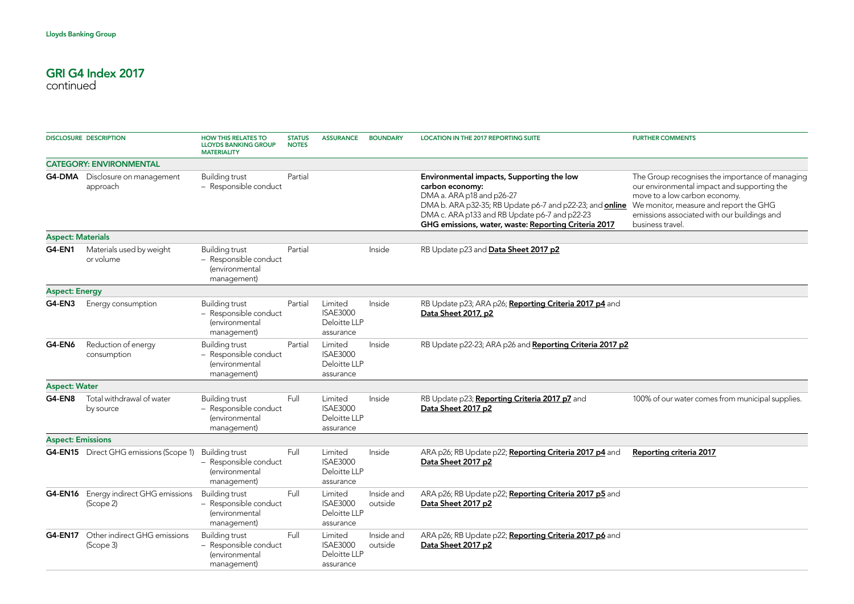|                          | <b>DISCLOSURE DESCRIPTION</b>                            | <b>HOW THIS RELATES TO</b><br><b>LLOYDS BANKING GROUP</b><br><b>MATERIALITY</b>                             | <b>STATUS</b><br><b>NOTES</b> | <b>ASSURANCE</b>                                        | <b>BOUNDARY</b>       | <b>LOCATION IN THE 2017 REPORTING SUITE</b>                                                                                                                                                                                                                           | <b>FURTHER COMMENTS</b>                                                                                                                                                                                                                      |
|--------------------------|----------------------------------------------------------|-------------------------------------------------------------------------------------------------------------|-------------------------------|---------------------------------------------------------|-----------------------|-----------------------------------------------------------------------------------------------------------------------------------------------------------------------------------------------------------------------------------------------------------------------|----------------------------------------------------------------------------------------------------------------------------------------------------------------------------------------------------------------------------------------------|
|                          | <b>CATEGORY: ENVIRONMENTAL</b>                           |                                                                                                             |                               |                                                         |                       |                                                                                                                                                                                                                                                                       |                                                                                                                                                                                                                                              |
|                          | <b>G4-DMA</b> Disclosure on management<br>approach       | <b>Building trust</b><br>- Responsible conduct                                                              | Partial                       |                                                         |                       | Environmental impacts, Supporting the low<br>carbon economy:<br>DMA a. ARA p18 and p26-27<br>DMA b. ARA p32-35; RB Update p6-7 and p22-23; and <b>online</b><br>DMA c. ARA p133 and RB Update p6-7 and p22-23<br>GHG emissions, water, waste: Reporting Criteria 2017 | The Group recognises the importance of managing<br>our environmental impact and supporting the<br>move to a low carbon economy.<br>We monitor, measure and report the GHG<br>emissions associated with our buildings and<br>business travel. |
| <b>Aspect: Materials</b> |                                                          |                                                                                                             |                               |                                                         |                       |                                                                                                                                                                                                                                                                       |                                                                                                                                                                                                                                              |
| <b>G4-EN1</b>            | Materials used by weight<br>or volume                    | <b>Building trust</b><br>- Responsible conduct<br><i>(environmental</i><br>management)                      | Partial                       |                                                         | Inside                | RB Update p23 and Data Sheet 2017 p2                                                                                                                                                                                                                                  |                                                                                                                                                                                                                                              |
| <b>Aspect: Energy</b>    |                                                          |                                                                                                             |                               |                                                         |                       |                                                                                                                                                                                                                                                                       |                                                                                                                                                                                                                                              |
| <b>G4-EN3</b>            | Energy consumption                                       | <b>Building trust</b><br>- Responsible conduct<br><i>(environmental</i><br>management)                      | Partial                       | Limited<br><b>ISAE3000</b><br>Deloitte LLP<br>assurance | Inside                | RB Update p23; ARA p26; Reporting Criteria 2017 p4 and<br>Data Sheet 2017, p2                                                                                                                                                                                         |                                                                                                                                                                                                                                              |
| <b>G4-EN6</b>            | Reduction of energy<br>consumption                       | <b>Building trust</b><br>- Responsible conduct<br><i>(environmental</i><br>management)                      | Partial                       | Limited<br><b>ISAE3000</b><br>Deloitte LLP<br>assurance | Inside                | RB Update p22-23; ARA p26 and Reporting Criteria 2017 p2                                                                                                                                                                                                              |                                                                                                                                                                                                                                              |
| <b>Aspect: Water</b>     |                                                          |                                                                                                             |                               |                                                         |                       |                                                                                                                                                                                                                                                                       |                                                                                                                                                                                                                                              |
| G4-EN8                   | Total withdrawal of water<br>by source                   | <b>Building trust</b><br>- Responsible conduct<br><i>(environmental</i><br>management)                      | Full                          | Limited<br><b>ISAE3000</b><br>Deloitte LLP<br>assurance | Inside                | RB Update p23; Reporting Criteria 2017 p7 and<br>Data Sheet 2017 p2                                                                                                                                                                                                   | 100% of our water comes from municipal supplies.                                                                                                                                                                                             |
| <b>Aspect: Emissions</b> |                                                          |                                                                                                             |                               |                                                         |                       |                                                                                                                                                                                                                                                                       |                                                                                                                                                                                                                                              |
|                          | <b>G4-EN15</b> Direct GHG emissions (Scope 1)            | <b>Building trust</b><br>- Responsible conduct<br><i>(environmental</i><br>management)                      | Full                          | Limited<br><b>ISAE3000</b><br>Deloitte LLP<br>assurance | Inside                | ARA p26; RB Update p22; Reporting Criteria 2017 p4 and<br>Data Sheet 2017 p2                                                                                                                                                                                          | Reporting criteria 2017                                                                                                                                                                                                                      |
|                          | G4-EN16 Energy indirect GHG emissions<br>(Scope 2)       | <b>Building trust</b><br>- Responsible conduct<br><i>(environmental</i><br>management)                      | Full                          | Limited<br><b>ISAE3000</b><br>Deloitte LLP<br>assurance | Inside and<br>outside | ARA p26; RB Update p22; Reporting Criteria 2017 p5 and<br>Data Sheet 2017 p2                                                                                                                                                                                          |                                                                                                                                                                                                                                              |
|                          | <b>G4-EN17</b> Other indirect GHG emissions<br>(Scope 3) | <b>Building trust</b><br>- Responsible conduct<br><i><u><b><u>denvironmental</u></b></u></i><br>management) | Full                          | Limited<br><b>ISAE3000</b><br>Deloitte LLP<br>assurance | Inside and<br>outside | ARA p26; RB Update p22; Reporting Criteria 2017 p6 and<br>Data Sheet 2017 p2                                                                                                                                                                                          |                                                                                                                                                                                                                                              |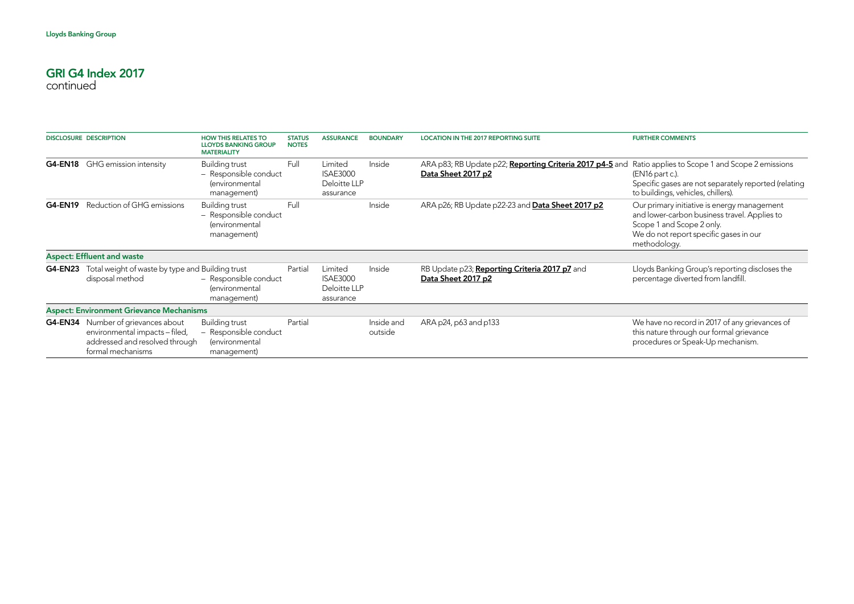|                | <b>DISCLOSURE DESCRIPTION</b>                                                                                                      | <b>HOW THIS RELATES TO</b><br><b>LLOYDS BANKING GROUP</b><br><b>MATERIALITY</b>        | <b>STATUS</b><br><b>NOTES</b> | <b>ASSURANCE</b>                                        | <b>BOUNDARY</b>       | <b>LOCATION IN THE 2017 REPORTING SUITE</b>                                    | <b>FURTHER COMMENTS</b>                                                                                                                                                            |
|----------------|------------------------------------------------------------------------------------------------------------------------------------|----------------------------------------------------------------------------------------|-------------------------------|---------------------------------------------------------|-----------------------|--------------------------------------------------------------------------------|------------------------------------------------------------------------------------------------------------------------------------------------------------------------------------|
| G4-EN18        | GHG emission intensity                                                                                                             | <b>Building trust</b><br>- Responsible conduct<br><i>(environmental</i><br>management) | Full                          | Limited<br><b>ISAE3000</b><br>Deloitte LLP<br>assurance | Inside                | ARA p83; RB Update p22; Reporting Criteria 2017 p4-5 and<br>Data Sheet 2017 p2 | Ratio applies to Scope 1 and Scope 2 emissions<br>(EN16 part c.).<br>Specific gases are not separately reported (relating<br>to buildings, vehicles, chillers).                    |
| <b>G4-EN19</b> | Reduction of GHG emissions                                                                                                         | Building trust<br>- Responsible conduct<br>(environmental<br>management)               | Full                          |                                                         | Inside                | ARA p26; RB Update p22-23 and Data Sheet 2017 p2                               | Our primary initiative is energy management<br>and lower-carbon business travel. Applies to<br>Scope 1 and Scope 2 only.<br>We do not report specific gases in our<br>methodology. |
|                | <b>Aspect: Effluent and waste</b>                                                                                                  |                                                                                        |                               |                                                         |                       |                                                                                |                                                                                                                                                                                    |
| <b>G4-EN23</b> | Total weight of waste by type and Building trust<br>disposal method                                                                | - Responsible conduct<br><i>(environmental</i><br>management)                          | Partial                       | Limited<br><b>ISAE3000</b><br>Deloitte LLP<br>assurance | Inside                | RB Update p23; Reporting Criteria 2017 p7 and<br>Data Sheet 2017 p2            | Lloyds Banking Group's reporting discloses the<br>percentage diverted from landfill.                                                                                               |
|                | <b>Aspect: Environment Grievance Mechanisms</b>                                                                                    |                                                                                        |                               |                                                         |                       |                                                                                |                                                                                                                                                                                    |
|                | <b>G4-EN34</b> Number of grievances about<br>environmental impacts - filed,<br>addressed and resolved through<br>formal mechanisms | Building trust<br>- Responsible conduct<br>(environmental<br>management)               | Partial                       |                                                         | Inside and<br>outside | ARA p24, p63 and p133                                                          | We have no record in 2017 of any grievances of<br>this nature through our formal grievance<br>procedures or Speak-Up mechanism.                                                    |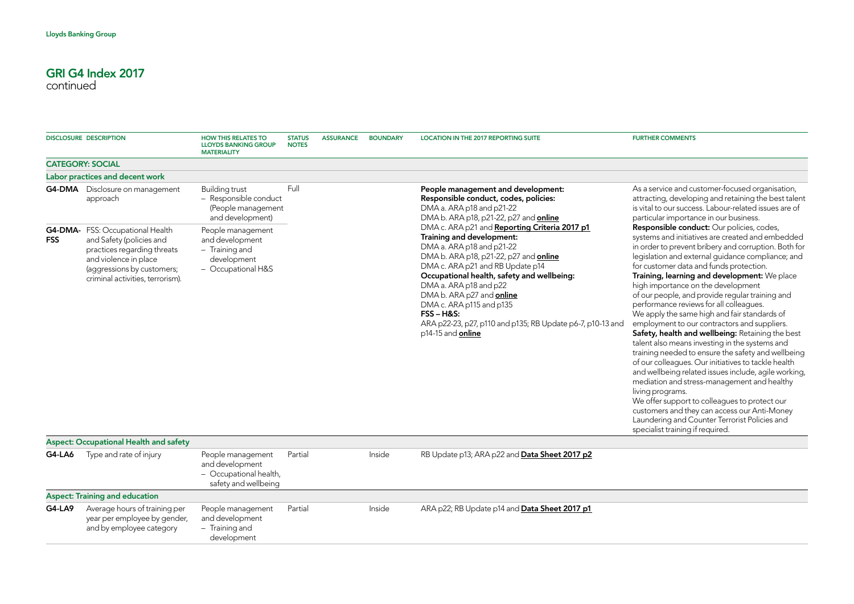|            | <b>DISCLOSURE DESCRIPTION</b>                                                                                                                                                          | <b>HOW THIS RELATES TO</b><br><b>LLOYDS BANKING GROUP</b><br><b>MATERIALITY</b>             | <b>STATUS</b><br><b>NOTES</b> | <b>ASSURANCE</b> | <b>BOUNDARY</b> | <b>LOCATION IN THE 2017 REPORTING SUITE</b>                                                                                                                                                                                                                                                                                                                                                                                       | <b>FURTHER COMMENTS</b>                                                                                                                                                                                                                                                                                                                                                                                                                                                                                                                                                                                                                                                                                                                                                                                                                                                                                                                                                                                                                   |
|------------|----------------------------------------------------------------------------------------------------------------------------------------------------------------------------------------|---------------------------------------------------------------------------------------------|-------------------------------|------------------|-----------------|-----------------------------------------------------------------------------------------------------------------------------------------------------------------------------------------------------------------------------------------------------------------------------------------------------------------------------------------------------------------------------------------------------------------------------------|-------------------------------------------------------------------------------------------------------------------------------------------------------------------------------------------------------------------------------------------------------------------------------------------------------------------------------------------------------------------------------------------------------------------------------------------------------------------------------------------------------------------------------------------------------------------------------------------------------------------------------------------------------------------------------------------------------------------------------------------------------------------------------------------------------------------------------------------------------------------------------------------------------------------------------------------------------------------------------------------------------------------------------------------|
|            | <b>CATEGORY: SOCIAL</b>                                                                                                                                                                |                                                                                             |                               |                  |                 |                                                                                                                                                                                                                                                                                                                                                                                                                                   |                                                                                                                                                                                                                                                                                                                                                                                                                                                                                                                                                                                                                                                                                                                                                                                                                                                                                                                                                                                                                                           |
|            | Labor practices and decent work                                                                                                                                                        |                                                                                             |                               |                  |                 |                                                                                                                                                                                                                                                                                                                                                                                                                                   |                                                                                                                                                                                                                                                                                                                                                                                                                                                                                                                                                                                                                                                                                                                                                                                                                                                                                                                                                                                                                                           |
|            | <b>G4-DMA</b> Disclosure on management<br>approach                                                                                                                                     | <b>Building trust</b><br>- Responsible conduct<br>(People management<br>and development)    | Full                          |                  |                 | People management and development:<br>Responsible conduct, codes, policies:<br>DMA a. ARA p18 and p21-22<br>DMA b. ARA p18, p21-22, p27 and online                                                                                                                                                                                                                                                                                | As a service and customer-focused organisation,<br>attracting, developing and retaining the best talent<br>is vital to our success. Labour-related issues are of<br>particular importance in our business.                                                                                                                                                                                                                                                                                                                                                                                                                                                                                                                                                                                                                                                                                                                                                                                                                                |
| <b>FSS</b> | G4-DMA- FSS: Occupational Health<br>and Safety (policies and<br>practices regarding threats<br>and violence in place<br>(aggressions by customers;<br>criminal activities, terrorism). | People management<br>and development<br>- Training and<br>development<br>- Occupational H&S |                               |                  |                 | DMA c. ARA p21 and Reporting Criteria 2017 p1<br>Training and development:<br>DMA a. ARA p18 and p21-22<br>DMA b. ARA p18, p21-22, p27 and <b>online</b><br>DMA c. ARA p21 and RB Update p14<br>Occupational health, safety and wellbeing:<br>DMA a. ARA p18 and p22<br>DMA b. ARA p27 and online<br>DMA c. ARA p115 and p135<br>$FSS - H&S$ :<br>ARA p22-23, p27, p110 and p135; RB Update p6-7, p10-13 and<br>p14-15 and online | Responsible conduct: Our policies, codes,<br>systems and initiatives are created and embedded<br>in order to prevent bribery and corruption. Both for<br>legislation and external guidance compliance; and<br>for customer data and funds protection.<br>Training, learning and development: We place<br>high importance on the development<br>of our people, and provide regular training and<br>performance reviews for all colleagues.<br>We apply the same high and fair standards of<br>employment to our contractors and suppliers.<br>Safety, health and wellbeing: Retaining the best<br>talent also means investing in the systems and<br>training needed to ensure the safety and wellbeing<br>of our colleagues. Our initiatives to tackle health<br>and wellbeing related issues include, agile working,<br>mediation and stress-management and healthy<br>living programs.<br>We offer support to colleagues to protect our<br>customers and they can access our Anti-Money<br>Laundering and Counter Terrorist Policies and |
|            | <b>Aspect: Occupational Health and safety</b>                                                                                                                                          |                                                                                             |                               |                  |                 |                                                                                                                                                                                                                                                                                                                                                                                                                                   | specialist training if required.                                                                                                                                                                                                                                                                                                                                                                                                                                                                                                                                                                                                                                                                                                                                                                                                                                                                                                                                                                                                          |
| G4-LA6     | Type and rate of injury                                                                                                                                                                | People management<br>and development<br>- Occupational health,<br>safety and wellbeing      | Partial                       |                  | Inside          | RB Update p13; ARA p22 and Data Sheet 2017 p2                                                                                                                                                                                                                                                                                                                                                                                     |                                                                                                                                                                                                                                                                                                                                                                                                                                                                                                                                                                                                                                                                                                                                                                                                                                                                                                                                                                                                                                           |
|            | <b>Aspect: Training and education</b>                                                                                                                                                  |                                                                                             |                               |                  |                 |                                                                                                                                                                                                                                                                                                                                                                                                                                   |                                                                                                                                                                                                                                                                                                                                                                                                                                                                                                                                                                                                                                                                                                                                                                                                                                                                                                                                                                                                                                           |
| G4-LA9     | Average hours of training per<br>year per employee by gender,<br>and by employee category                                                                                              | People management<br>and development<br>- Training and<br>development                       | Partial                       |                  | Inside          | ARA p22; RB Update p14 and Data Sheet 2017 p1                                                                                                                                                                                                                                                                                                                                                                                     |                                                                                                                                                                                                                                                                                                                                                                                                                                                                                                                                                                                                                                                                                                                                                                                                                                                                                                                                                                                                                                           |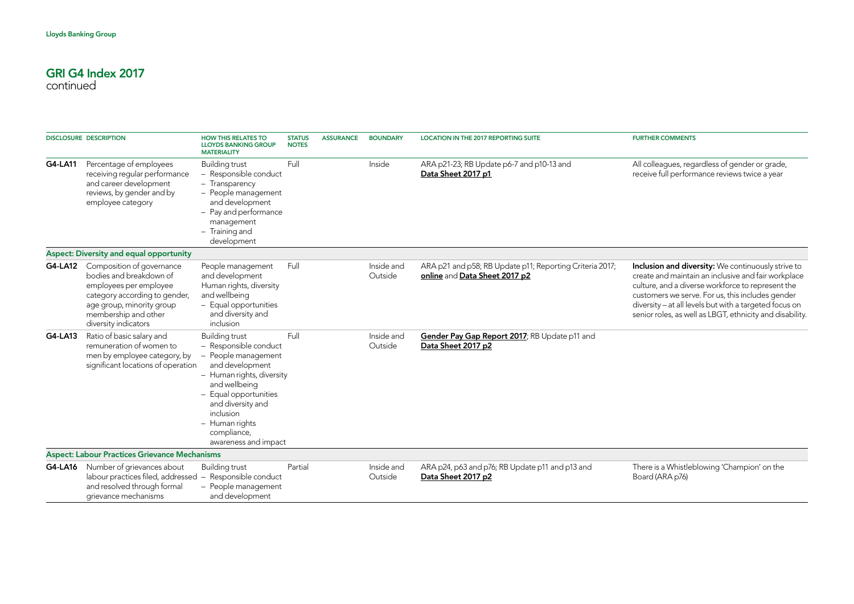|                | <b>DISCLOSURE DESCRIPTION</b>                                                                                                                                                                | <b>HOW THIS RELATES TO</b><br><b>LLOYDS BANKING GROUP</b><br><b>MATERIALITY</b>                                                                                                                                                                            | <b>STATUS</b><br><b>NOTES</b> | <b>ASSURANCE</b> | <b>BOUNDARY</b>       | <b>LOCATION IN THE 2017 REPORTING SUITE</b>                                               | <b>FURTHER COMMENTS</b>                                                                                                                                                                                                                                                                                                                  |
|----------------|----------------------------------------------------------------------------------------------------------------------------------------------------------------------------------------------|------------------------------------------------------------------------------------------------------------------------------------------------------------------------------------------------------------------------------------------------------------|-------------------------------|------------------|-----------------------|-------------------------------------------------------------------------------------------|------------------------------------------------------------------------------------------------------------------------------------------------------------------------------------------------------------------------------------------------------------------------------------------------------------------------------------------|
| G4-LA11        | Percentage of employees<br>receiving regular performance<br>and career development<br>reviews, by gender and by<br>employee category                                                         | <b>Building trust</b><br>- Responsible conduct<br>- Transparency<br>- People management<br>and development<br>- Pay and performance<br>management<br>- Training and<br>development                                                                         | Full                          |                  | Inside                | ARA p21-23; RB Update p6-7 and p10-13 and<br>Data Sheet 2017 p1                           | All colleagues, regardless of gender or grade,<br>receive full performance reviews twice a year                                                                                                                                                                                                                                          |
|                | <b>Aspect: Diversity and equal opportunity</b>                                                                                                                                               |                                                                                                                                                                                                                                                            |                               |                  |                       |                                                                                           |                                                                                                                                                                                                                                                                                                                                          |
| G4-LA12        | Composition of governance<br>bodies and breakdown of<br>employees per employee<br>category according to gender,<br>age group, minority group<br>membership and other<br>diversity indicators | People management<br>and development<br>Human rights, diversity<br>and wellbeing<br>- Equal opportunities<br>and diversity and<br>inclusion                                                                                                                | Full                          |                  | Inside and<br>Outside | ARA p21 and p58; RB Update p11; Reporting Criteria 2017;<br>online and Data Sheet 2017 p2 | Inclusion and diversity: We continuously strive to<br>create and maintain an inclusive and fair workplace<br>culture, and a diverse workforce to represent the<br>customers we serve. For us, this includes gender<br>diversity - at all levels but with a targeted focus on<br>senior roles, as well as LBGT, ethnicity and disability. |
| G4-LA13        | Ratio of basic salary and<br>remuneration of women to<br>men by employee category, by<br>significant locations of operation                                                                  | <b>Building trust</b><br>- Responsible conduct<br>- People management<br>and development<br>- Human rights, diversity<br>and wellbeing<br>- Equal opportunities<br>and diversity and<br>inclusion<br>- Human rights<br>compliance,<br>awareness and impact | Full                          |                  | Inside and<br>Outside | Gender Pay Gap Report 2017; RB Update p11 and<br>Data Sheet 2017 p2                       |                                                                                                                                                                                                                                                                                                                                          |
|                | <b>Aspect: Labour Practices Grievance Mechanisms</b>                                                                                                                                         |                                                                                                                                                                                                                                                            |                               |                  |                       |                                                                                           |                                                                                                                                                                                                                                                                                                                                          |
| <b>G4-LA16</b> | Number of grievances about<br>labour practices filed, addressed<br>and resolved through formal<br>grievance mechanisms                                                                       | <b>Building trust</b><br>- Responsible conduct<br>- People management<br>and development                                                                                                                                                                   | Partial                       |                  | Inside and<br>Outside | ARA p24, p63 and p76; RB Update p11 and p13 and<br>Data Sheet 2017 p2                     | There is a Whistleblowing 'Champion' on the<br>Board (ARA p76)                                                                                                                                                                                                                                                                           |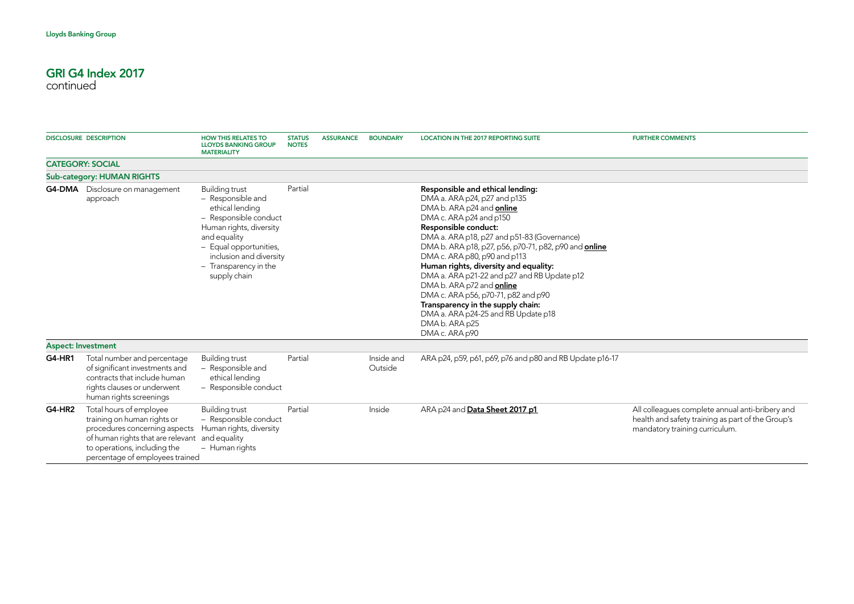|               | <b>DISCLOSURE DESCRIPTION</b>                                                                                                                                                                                | <b>HOW THIS RELATES TO</b><br><b>LLOYDS BANKING GROUP</b><br><b>MATERIALITY</b>                                                                                                                                                 | <b>STATUS</b><br><b>NOTES</b> | <b>ASSURANCE</b> | <b>BOUNDARY</b>       | <b>LOCATION IN THE 2017 REPORTING SUITE</b>                                                                                                                                                                                                                                                                                                                                                                                                                                                                                                                                 | <b>FURTHER COMMENTS</b>                                                                                                                |
|---------------|--------------------------------------------------------------------------------------------------------------------------------------------------------------------------------------------------------------|---------------------------------------------------------------------------------------------------------------------------------------------------------------------------------------------------------------------------------|-------------------------------|------------------|-----------------------|-----------------------------------------------------------------------------------------------------------------------------------------------------------------------------------------------------------------------------------------------------------------------------------------------------------------------------------------------------------------------------------------------------------------------------------------------------------------------------------------------------------------------------------------------------------------------------|----------------------------------------------------------------------------------------------------------------------------------------|
|               | <b>CATEGORY: SOCIAL</b>                                                                                                                                                                                      |                                                                                                                                                                                                                                 |                               |                  |                       |                                                                                                                                                                                                                                                                                                                                                                                                                                                                                                                                                                             |                                                                                                                                        |
|               | <b>Sub-category: HUMAN RIGHTS</b>                                                                                                                                                                            |                                                                                                                                                                                                                                 |                               |                  |                       |                                                                                                                                                                                                                                                                                                                                                                                                                                                                                                                                                                             |                                                                                                                                        |
|               | <b>G4-DMA</b> Disclosure on management<br>approach                                                                                                                                                           | <b>Building trust</b><br>- Responsible and<br>ethical lending<br>- Responsible conduct<br>Human rights, diversity<br>and equality<br>- Equal opportunities,<br>inclusion and diversity<br>- Transparency in the<br>supply chain | Partial                       |                  |                       | Responsible and ethical lending:<br>DMA a. ARA p24, p27 and p135<br>DMA b. ARA p24 and online<br>DMA c. ARA p24 and p150<br>Responsible conduct:<br>DMA a. ARA p18, p27 and p51-83 (Governance)<br>DMA b. ARA p18, p27, p56, p70-71, p82, p90 and <b>online</b><br>DMA c. ARA p80, p90 and p113<br>Human rights, diversity and equality:<br>DMA a. ARA p21-22 and p27 and RB Update p12<br>DMA b. ARA p72 and online<br>DMA c. ARA p56, p70-71, p82 and p90<br>Transparency in the supply chain:<br>DMA a. ARA p24-25 and RB Update p18<br>DMA b. ARA p25<br>DMA c. ARA p90 |                                                                                                                                        |
|               | <b>Aspect: Investment</b>                                                                                                                                                                                    |                                                                                                                                                                                                                                 |                               |                  |                       |                                                                                                                                                                                                                                                                                                                                                                                                                                                                                                                                                                             |                                                                                                                                        |
| <b>G4-HR1</b> | Total number and percentage<br>of significant investments and<br>contracts that include human<br>rights clauses or underwent<br>human rights screenings                                                      | <b>Building trust</b><br>- Responsible and<br>ethical lending<br>- Responsible conduct                                                                                                                                          | Partial                       |                  | Inside and<br>Outside | ARA p24, p59, p61, p69, p76 and p80 and RB Update p16-17                                                                                                                                                                                                                                                                                                                                                                                                                                                                                                                    |                                                                                                                                        |
| <b>G4-HR2</b> | Total hours of employee<br>training on human rights or<br>procedures concerning aspects<br>of human rights that are relevant and equality<br>to operations, including the<br>percentage of employees trained | Building trust<br>- Responsible conduct<br>Human rights, diversity<br>- Human rights                                                                                                                                            | Partial                       |                  | Inside                | ARA p24 and Data Sheet 2017 p1                                                                                                                                                                                                                                                                                                                                                                                                                                                                                                                                              | All colleagues complete annual anti-bribery and<br>health and safety training as part of the Group's<br>mandatory training curriculum. |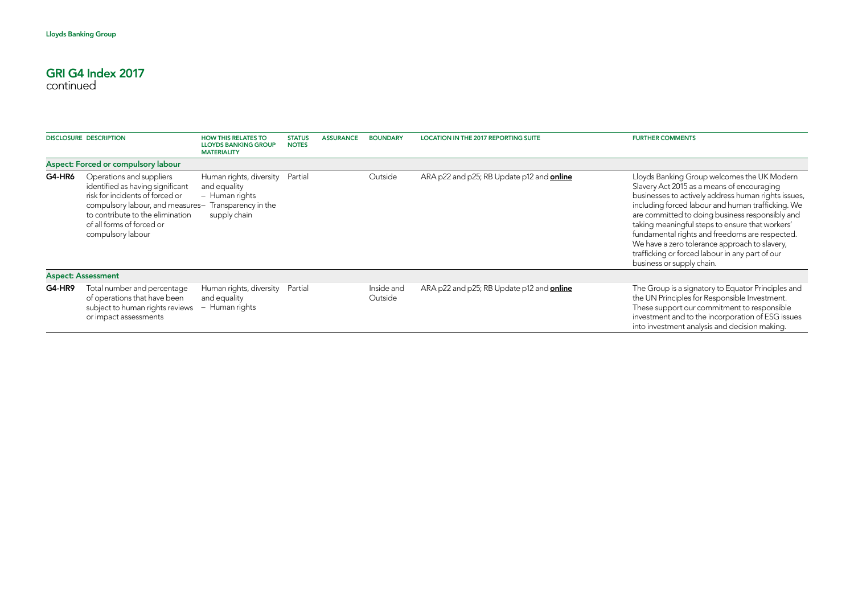| <b>DISCLOSURE DESCRIPTION</b> |                                                                                                                                                                                                                           | <b>HOW THIS RELATES TO</b><br><b>LLOYDS BANKING GROUP</b><br><b>MATERIALITY</b>                  | <b>STATUS</b><br><b>NOTES</b> | <b>ASSURANCE</b> | <b>BOUNDARY</b>       | <b>LOCATION IN THE 2017 REPORTING SUITE</b>      | <b>FURTHER COMMENTS</b>                                                                                                                                                                                                                                                                                                                                                                                                                                                                        |
|-------------------------------|---------------------------------------------------------------------------------------------------------------------------------------------------------------------------------------------------------------------------|--------------------------------------------------------------------------------------------------|-------------------------------|------------------|-----------------------|--------------------------------------------------|------------------------------------------------------------------------------------------------------------------------------------------------------------------------------------------------------------------------------------------------------------------------------------------------------------------------------------------------------------------------------------------------------------------------------------------------------------------------------------------------|
|                               | Aspect: Forced or compulsory labour                                                                                                                                                                                       |                                                                                                  |                               |                  |                       |                                                  |                                                                                                                                                                                                                                                                                                                                                                                                                                                                                                |
| G4-HR6                        | Operations and suppliers<br>identified as having significant<br>risk for incidents of forced or<br>compulsory labour, and measures-<br>to contribute to the elimination<br>of all forms of forced or<br>compulsory labour | Human rights, diversity<br>and equality<br>- Human rights<br>Transparency in the<br>supply chain | Partial                       |                  | Outside               | ARA p22 and p25; RB Update p12 and <b>online</b> | Lloyds Banking Group welcomes the UK Modern<br>Slavery Act 2015 as a means of encouraging<br>businesses to actively address human rights issues,<br>including forced labour and human trafficking. We<br>are committed to doing business responsibly and<br>taking meaningful steps to ensure that workers'<br>fundamental rights and freedoms are respected.<br>We have a zero tolerance approach to slavery,<br>trafficking or forced labour in any part of our<br>business or supply chain. |
|                               | <b>Aspect: Assessment</b>                                                                                                                                                                                                 |                                                                                                  |                               |                  |                       |                                                  |                                                                                                                                                                                                                                                                                                                                                                                                                                                                                                |
| G4-HR9                        | Total number and percentage<br>of operations that have been<br>subject to human rights reviews<br>or impact assessments                                                                                                   | Human rights, diversity<br>and equality<br>- Human rights                                        | Partial                       |                  | Inside and<br>Outside | ARA p22 and p25; RB Update p12 and online        | The Group is a signatory to Equator Principles and<br>the UN Principles for Responsible Investment.<br>These support our commitment to responsible<br>investment and to the incorporation of ESG issues<br>into investment analysis and decision making.                                                                                                                                                                                                                                       |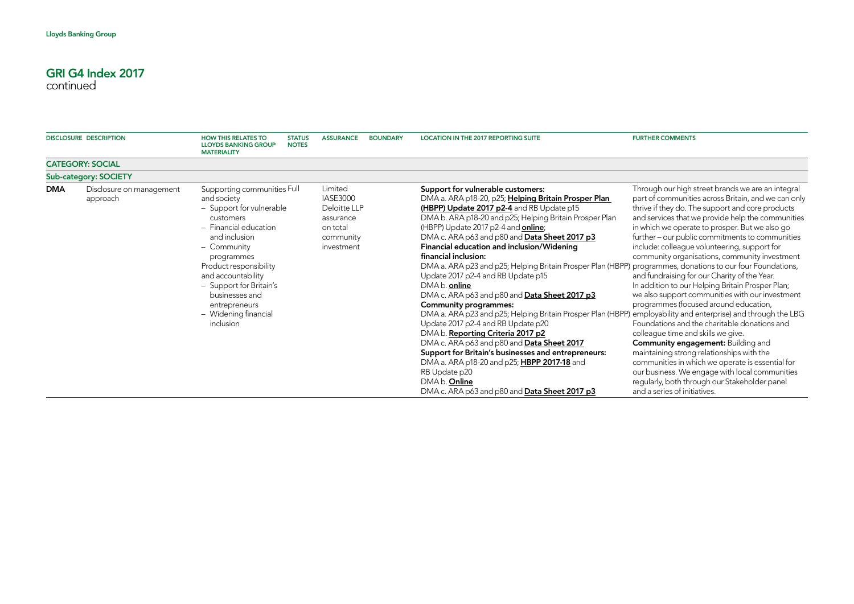|            | <b>DISCLOSURE DESCRIPTION</b>        | <b>HOW THIS RELATES TO</b><br><b>LLOYDS BANKING GROUP</b><br><b>MATERIALITY</b>                                                                                                                                                                                                                               | <b>STATUS</b><br><b>NOTES</b> | <b>ASSURANCE</b>                                                                               | <b>BOUNDARY</b> | <b>LOCATION IN THE 2017 REPORTING SUITE</b>                                                                                                                                                                                                                                                                                                                                                                                                                                                                                                                                                                                                                                                                                                                                                                                                                                                                                                                                                                                       | <b>FURTHER COMMENTS</b>                                                                                                                                                                                                                                                                                                                                                                                                                                                                                                                                                                                                                                                                                                                                                                                                                                                                                                                                                                                                                             |
|------------|--------------------------------------|---------------------------------------------------------------------------------------------------------------------------------------------------------------------------------------------------------------------------------------------------------------------------------------------------------------|-------------------------------|------------------------------------------------------------------------------------------------|-----------------|-----------------------------------------------------------------------------------------------------------------------------------------------------------------------------------------------------------------------------------------------------------------------------------------------------------------------------------------------------------------------------------------------------------------------------------------------------------------------------------------------------------------------------------------------------------------------------------------------------------------------------------------------------------------------------------------------------------------------------------------------------------------------------------------------------------------------------------------------------------------------------------------------------------------------------------------------------------------------------------------------------------------------------------|-----------------------------------------------------------------------------------------------------------------------------------------------------------------------------------------------------------------------------------------------------------------------------------------------------------------------------------------------------------------------------------------------------------------------------------------------------------------------------------------------------------------------------------------------------------------------------------------------------------------------------------------------------------------------------------------------------------------------------------------------------------------------------------------------------------------------------------------------------------------------------------------------------------------------------------------------------------------------------------------------------------------------------------------------------|
|            | <b>CATEGORY: SOCIAL</b>              |                                                                                                                                                                                                                                                                                                               |                               |                                                                                                |                 |                                                                                                                                                                                                                                                                                                                                                                                                                                                                                                                                                                                                                                                                                                                                                                                                                                                                                                                                                                                                                                   |                                                                                                                                                                                                                                                                                                                                                                                                                                                                                                                                                                                                                                                                                                                                                                                                                                                                                                                                                                                                                                                     |
|            | <b>Sub-category: SOCIETY</b>         |                                                                                                                                                                                                                                                                                                               |                               |                                                                                                |                 |                                                                                                                                                                                                                                                                                                                                                                                                                                                                                                                                                                                                                                                                                                                                                                                                                                                                                                                                                                                                                                   |                                                                                                                                                                                                                                                                                                                                                                                                                                                                                                                                                                                                                                                                                                                                                                                                                                                                                                                                                                                                                                                     |
| <b>DMA</b> | Disclosure on management<br>approach | Supporting communities Full<br>and society<br>- Support for vulnerable<br>customers<br>- Financial education<br>and inclusion<br>- Community<br>programmes<br>Product responsibility<br>and accountability<br>- Support for Britain's<br>businesses and<br>entrepreneurs<br>- Widening financial<br>inclusion |                               | Limited<br><b>IASE3000</b><br>Deloitte LLP<br>assurance<br>on total<br>community<br>investment |                 | Support for vulnerable customers:<br>DMA a. ARA p18-20, p25; Helping Britain Prosper Plan<br>(HBPP) Update 2017 p2-4 and RB Update p15<br>DMA b. ARA p18-20 and p25; Helping Britain Prosper Plan<br>(HBPP) Update 2017 p2-4 and <b>online</b> ;<br>DMA c. ARA p63 and p80 and Data Sheet 2017 p3<br>Financial education and inclusion/Widening<br>financial inclusion:<br>DMA a. ARA p23 and p25; Helping Britain Prosper Plan (HBPP) programmes, donations to our four Foundations,<br>Update 2017 p2-4 and RB Update p15<br>DMA b. online<br>DMA c. ARA p63 and p80 and Data Sheet 2017 p3<br><b>Community programmes:</b><br>DMA a. ARA p23 and p25; Helping Britain Prosper Plan (HBPP)<br>Update 2017 p2-4 and RB Update p20<br>DMA b. Reporting Criteria 2017 p2<br>DMA c. ARA p63 and p80 and Data Sheet 2017<br>Support for Britain's businesses and entrepreneurs:<br>DMA a. ARA p18-20 and p25; HBPP 2017-18 and<br>RB Update p20<br>DMA <sub>b</sub> . Online<br>DMA c. ARA p63 and p80 and <b>Data Sheet 2017 p3</b> | Through our high street brands we are an integral<br>part of communities across Britain, and we can only<br>thrive if they do. The support and core products<br>and services that we provide help the communities<br>in which we operate to prosper. But we also go<br>further – our public commitments to communities<br>include: colleague volunteering, support for<br>community organisations, community investment<br>and fundraising for our Charity of the Year.<br>In addition to our Helping Britain Prosper Plan;<br>we also support communities with our investment<br>programmes (focused around education,<br>employability and enterprise) and through the LBG<br>Foundations and the charitable donations and<br>colleague time and skills we give.<br><b>Community engagement:</b> Building and<br>maintaining strong relationships with the<br>communities in which we operate is essential for<br>our business. We engage with local communities<br>regularly, both through our Stakeholder panel<br>and a series of initiatives. |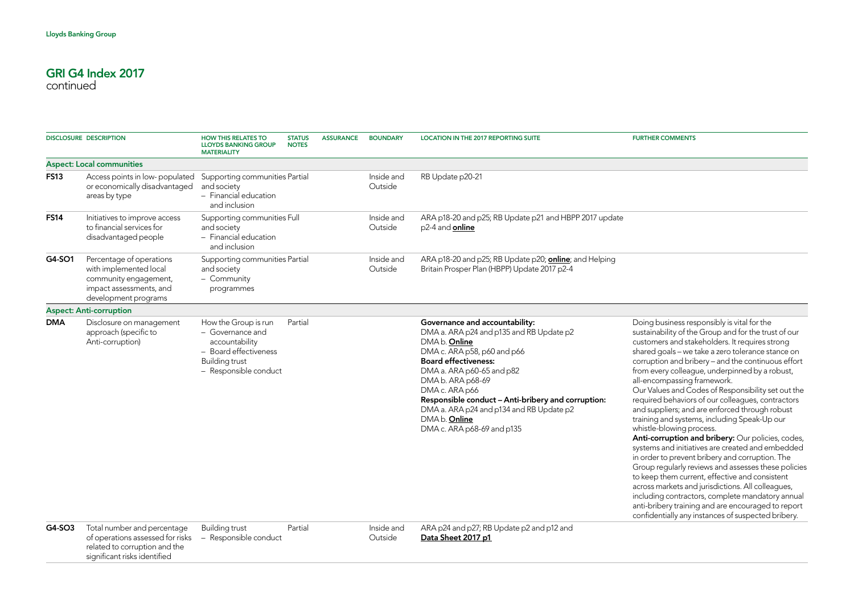significant risks identified

| <b>DISCLOSURE DESCRIPTION</b> |                                                                                                                                | <b>HOW THIS RELATES TO</b><br><b>LLOYDS BANKING GROUP</b><br><b>MATERIALITY</b>                                                | <b>STATUS</b><br><b>NOTES</b> | <b>ASSURANCE</b> | <b>BOUNDARY</b>       | <b>LOCATION IN THE 2017 REPORTING SUITE</b>                                                                                                                                                                                                                                                                                                                                                            | <b>FURTHER COMMENTS</b>                                                                                                                                                                                                                                                                                                                                                                                                                                                                                                                                                                                                                                                                                                                                                                                                                                                                                                                                                                                                                                                              |
|-------------------------------|--------------------------------------------------------------------------------------------------------------------------------|--------------------------------------------------------------------------------------------------------------------------------|-------------------------------|------------------|-----------------------|--------------------------------------------------------------------------------------------------------------------------------------------------------------------------------------------------------------------------------------------------------------------------------------------------------------------------------------------------------------------------------------------------------|--------------------------------------------------------------------------------------------------------------------------------------------------------------------------------------------------------------------------------------------------------------------------------------------------------------------------------------------------------------------------------------------------------------------------------------------------------------------------------------------------------------------------------------------------------------------------------------------------------------------------------------------------------------------------------------------------------------------------------------------------------------------------------------------------------------------------------------------------------------------------------------------------------------------------------------------------------------------------------------------------------------------------------------------------------------------------------------|
|                               | <b>Aspect: Local communities</b>                                                                                               |                                                                                                                                |                               |                  |                       |                                                                                                                                                                                                                                                                                                                                                                                                        |                                                                                                                                                                                                                                                                                                                                                                                                                                                                                                                                                                                                                                                                                                                                                                                                                                                                                                                                                                                                                                                                                      |
| <b>FS13</b>                   | Access points in low-populated<br>or economically disadvantaged<br>areas by type                                               | Supporting communities Partial<br>and society<br>- Financial education<br>and inclusion                                        |                               |                  | Inside and<br>Outside | RB Update p20-21                                                                                                                                                                                                                                                                                                                                                                                       |                                                                                                                                                                                                                                                                                                                                                                                                                                                                                                                                                                                                                                                                                                                                                                                                                                                                                                                                                                                                                                                                                      |
| <b>FS14</b>                   | Initiatives to improve access<br>to financial services for<br>disadvantaged people                                             | Supporting communities Full<br>and society<br>- Financial education<br>and inclusion                                           |                               |                  | Inside and<br>Outside | ARA p18-20 and p25; RB Update p21 and HBPP 2017 update<br>p2-4 and <b>online</b>                                                                                                                                                                                                                                                                                                                       |                                                                                                                                                                                                                                                                                                                                                                                                                                                                                                                                                                                                                                                                                                                                                                                                                                                                                                                                                                                                                                                                                      |
| G4-SO1                        | Percentage of operations<br>with implemented local<br>community engagement,<br>impact assessments, and<br>development programs | Supporting communities Partial<br>and society<br>- Community<br>programmes                                                     |                               |                  | Inside and<br>Outside | ARA p18-20 and p25; RB Update p20; <b>online</b> ; and Helping<br>Britain Prosper Plan (HBPP) Update 2017 p2-4                                                                                                                                                                                                                                                                                         |                                                                                                                                                                                                                                                                                                                                                                                                                                                                                                                                                                                                                                                                                                                                                                                                                                                                                                                                                                                                                                                                                      |
|                               | <b>Aspect: Anti-corruption</b>                                                                                                 |                                                                                                                                |                               |                  |                       |                                                                                                                                                                                                                                                                                                                                                                                                        |                                                                                                                                                                                                                                                                                                                                                                                                                                                                                                                                                                                                                                                                                                                                                                                                                                                                                                                                                                                                                                                                                      |
| <b>DMA</b>                    | Disclosure on management<br>approach (specific to<br>Anti-corruption)                                                          | How the Group is run<br>- Governance and<br>accountability<br>- Board effectiveness<br>Building trust<br>- Responsible conduct | Partial                       |                  |                       | Governance and accountability:<br>DMA a. ARA p24 and p135 and RB Update p2<br>DMA <sub>b</sub> . Online<br>DMA c. ARA p58, p60 and p66<br><b>Board effectiveness:</b><br>DMA a. ARA p60-65 and p82<br>DMA b. ARA p68-69<br>DMA c. ARA p66<br>Responsible conduct - Anti-bribery and corruption:<br>DMA a. ARA p24 and p134 and RB Update p2<br>DMA <sub>b</sub> . Online<br>DMA c. ARA p68-69 and p135 | Doing business responsibly is vital for the<br>sustainability of the Group and for the trust of our<br>customers and stakeholders. It requires strong<br>shared goals - we take a zero tolerance stance on<br>corruption and bribery - and the continuous effort<br>from every colleague, underpinned by a robust,<br>all-encompassing framework.<br>Our Values and Codes of Responsibility set out the<br>required behaviors of our colleagues, contractors<br>and suppliers; and are enforced through robust<br>training and systems, including Speak-Up our<br>whistle-blowing process.<br>Anti-corruption and bribery: Our policies, codes,<br>systems and initiatives are created and embedded<br>in order to prevent bribery and corruption. The<br>Group regularly reviews and assesses these policies<br>to keep them current, effective and consistent<br>across markets and jurisdictions. All colleagues,<br>including contractors, complete mandatory annual<br>anti-bribery training and are encouraged to report<br>confidentially any instances of suspected bribery. |
| G4-SO3                        | Total number and percentage<br>of operations assessed for risks<br>related to corruption and the                               | Building trust<br>- Responsible conduct                                                                                        | Partial                       |                  | Inside and<br>Outside | ARA p24 and p27; RB Update p2 and p12 and<br>Data Sheet 2017 p1                                                                                                                                                                                                                                                                                                                                        |                                                                                                                                                                                                                                                                                                                                                                                                                                                                                                                                                                                                                                                                                                                                                                                                                                                                                                                                                                                                                                                                                      |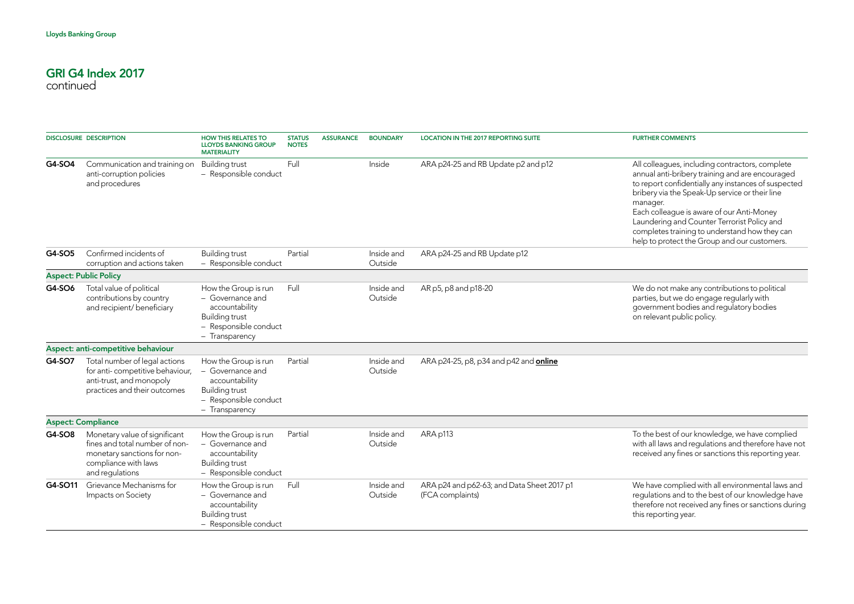|         | <b>DISCLOSURE DESCRIPTION</b>                                                                                                             | <b>HOW THIS RELATES TO</b><br><b>LLOYDS BANKING GROUP</b><br><b>MATERIALITY</b>                                                | <b>STATUS</b><br><b>NOTES</b> | <b>ASSURANCE</b> | <b>BOUNDARY</b>       | <b>LOCATION IN THE 2017 REPORTING SUITE</b>                    | <b>FURTHER COMMENTS</b>                                                                                                                                                                                                                                                                                                                                                                                              |
|---------|-------------------------------------------------------------------------------------------------------------------------------------------|--------------------------------------------------------------------------------------------------------------------------------|-------------------------------|------------------|-----------------------|----------------------------------------------------------------|----------------------------------------------------------------------------------------------------------------------------------------------------------------------------------------------------------------------------------------------------------------------------------------------------------------------------------------------------------------------------------------------------------------------|
| G4-SO4  | Communication and training on<br>anti-corruption policies<br>and procedures                                                               | <b>Building trust</b><br>- Responsible conduct                                                                                 | Full                          |                  | Inside                | ARA p24-25 and RB Update p2 and p12                            | All colleagues, including contractors, complete<br>annual anti-bribery training and are encouraged<br>to report confidentially any instances of suspected<br>bribery via the Speak-Up service or their line<br>manager.<br>Each colleague is aware of our Anti-Money<br>Laundering and Counter Terrorist Policy and<br>completes training to understand how they can<br>help to protect the Group and our customers. |
| G4-SO5  | Confirmed incidents of<br>corruption and actions taken                                                                                    | <b>Building trust</b><br>- Responsible conduct                                                                                 | Partial                       |                  | Inside and<br>Outside | ARA p24-25 and RB Update p12                                   |                                                                                                                                                                                                                                                                                                                                                                                                                      |
|         | <b>Aspect: Public Policy</b>                                                                                                              |                                                                                                                                |                               |                  |                       |                                                                |                                                                                                                                                                                                                                                                                                                                                                                                                      |
| G4-SO6  | Total value of political<br>contributions by country<br>and recipient/ beneficiary                                                        | How the Group is run<br>- Governance and<br>accountability<br><b>Building trust</b><br>- Responsible conduct<br>- Transparency | Full                          |                  | Inside and<br>Outside | AR p5, p8 and p18-20                                           | We do not make any contributions to political<br>parties, but we do engage regularly with<br>government bodies and regulatory bodies<br>on relevant public policy.                                                                                                                                                                                                                                                   |
|         | Aspect: anti-competitive behaviour                                                                                                        |                                                                                                                                |                               |                  |                       |                                                                |                                                                                                                                                                                                                                                                                                                                                                                                                      |
| G4-SO7  | Total number of legal actions<br>for anti-competitive behaviour,<br>anti-trust, and monopoly<br>practices and their outcomes              | How the Group is run<br>- Governance and<br>accountability<br><b>Building trust</b><br>- Responsible conduct<br>- Transparency | Partial                       |                  | Inside and<br>Outside | ARA p24-25, p8, p34 and p42 and <b>online</b>                  |                                                                                                                                                                                                                                                                                                                                                                                                                      |
|         | <b>Aspect: Compliance</b>                                                                                                                 |                                                                                                                                |                               |                  |                       |                                                                |                                                                                                                                                                                                                                                                                                                                                                                                                      |
| G4-SO8  | Monetary value of significant<br>fines and total number of non-<br>monetary sanctions for non-<br>compliance with laws<br>and regulations | How the Group is run<br>- Governance and<br>accountability<br><b>Building trust</b><br>- Responsible conduct                   | Partial                       |                  | Inside and<br>Outside | ARA p113                                                       | To the best of our knowledge, we have complied<br>with all laws and regulations and therefore have not<br>received any fines or sanctions this reporting year.                                                                                                                                                                                                                                                       |
| G4-SO11 | Grievance Mechanisms for<br>Impacts on Society                                                                                            | How the Group is run<br>- Governance and<br>accountability<br><b>Building trust</b><br>- Responsible conduct                   | Full                          |                  | Inside and<br>Outside | ARA p24 and p62-63; and Data Sheet 2017 p1<br>(FCA complaints) | We have complied with all environmental laws and<br>regulations and to the best of our knowledge have<br>therefore not received any fines or sanctions during<br>this reporting year.                                                                                                                                                                                                                                |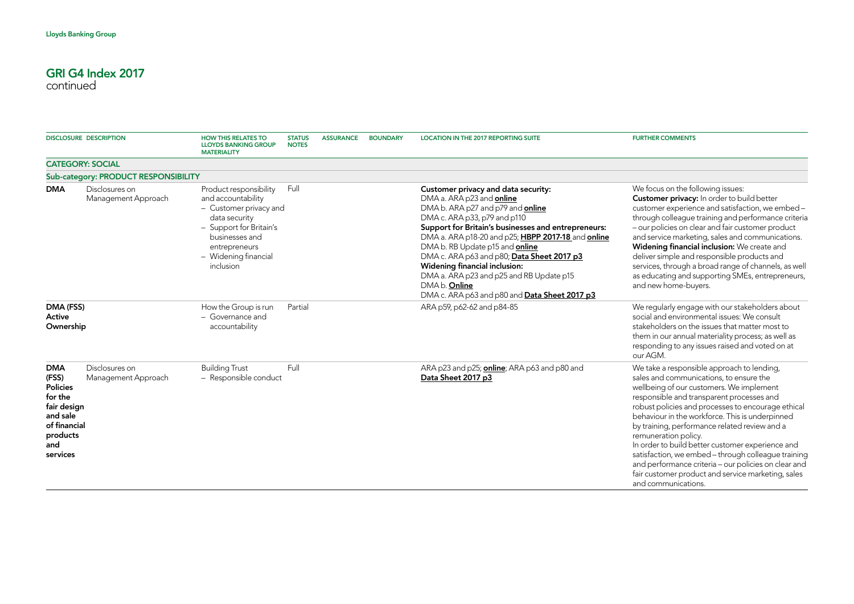| <b>DISCLOSURE DESCRIPTION</b>                                                                                               |                                       | <b>HOW THIS RELATES TO</b><br><b>LLOYDS BANKING GROUP</b><br><b>MATERIALITY</b>                                                                                                            | <b>STATUS</b><br><b>NOTES</b> | <b>ASSURANCE</b> | <b>BOUNDARY</b> | <b>LOCATION IN THE 2017 REPORTING SUITE</b>                                                                                                                                                                                                                                                                                                                                                                                                                                                                  | <b>FURTHER COMMENTS</b>                                                                                                                                                                                                                                                                                                                                                                                                                                                                                                                                                                                          |
|-----------------------------------------------------------------------------------------------------------------------------|---------------------------------------|--------------------------------------------------------------------------------------------------------------------------------------------------------------------------------------------|-------------------------------|------------------|-----------------|--------------------------------------------------------------------------------------------------------------------------------------------------------------------------------------------------------------------------------------------------------------------------------------------------------------------------------------------------------------------------------------------------------------------------------------------------------------------------------------------------------------|------------------------------------------------------------------------------------------------------------------------------------------------------------------------------------------------------------------------------------------------------------------------------------------------------------------------------------------------------------------------------------------------------------------------------------------------------------------------------------------------------------------------------------------------------------------------------------------------------------------|
| <b>CATEGORY: SOCIAL</b>                                                                                                     |                                       |                                                                                                                                                                                            |                               |                  |                 |                                                                                                                                                                                                                                                                                                                                                                                                                                                                                                              |                                                                                                                                                                                                                                                                                                                                                                                                                                                                                                                                                                                                                  |
|                                                                                                                             | Sub-category: PRODUCT RESPONSIBILITY  |                                                                                                                                                                                            |                               |                  |                 |                                                                                                                                                                                                                                                                                                                                                                                                                                                                                                              |                                                                                                                                                                                                                                                                                                                                                                                                                                                                                                                                                                                                                  |
| <b>DMA</b>                                                                                                                  | Disclosures on<br>Management Approach | Product responsibility<br>and accountability<br>- Customer privacy and<br>data security<br>- Support for Britain's<br>businesses and<br>entrepreneurs<br>- Widening financial<br>inclusion | Full                          |                  |                 | Customer privacy and data security:<br>DMA a. ARA p23 and online<br>DMA b. ARA p27 and p79 and <b>online</b><br>DMA c. ARA p33, p79 and p110<br>Support for Britain's businesses and entrepreneurs:<br>DMA a. ARA p18-20 and p25; HBPP 2017-18 and online<br>DMA b. RB Update p15 and <b>online</b><br>DMA c. ARA p63 and p80; Data Sheet 2017 p3<br>Widening financial inclusion:<br>DMA a. ARA p23 and p25 and RB Update p15<br>DMA <sub>b</sub> . Online<br>DMA c. ARA p63 and p80 and Data Sheet 2017 p3 | We focus on the following issues:<br><b>Customer privacy:</b> In order to build better<br>customer experience and satisfaction, we embed -<br>through colleague training and performance criteria<br>- our policies on clear and fair customer product<br>and service marketing, sales and communications.<br>Widening financial inclusion: We create and<br>deliver simple and responsible products and<br>services, through a broad range of channels, as well<br>as educating and supporting SMEs, entrepreneurs,<br>and new home-buyers.                                                                     |
| DMA (FSS)<br>Active<br>Ownership                                                                                            |                                       | How the Group is run<br>- Governance and<br>accountability                                                                                                                                 | Partial                       |                  |                 | ARA p59, p62-62 and p84-85                                                                                                                                                                                                                                                                                                                                                                                                                                                                                   | We regularly engage with our stakeholders about<br>social and environmental issues: We consult<br>stakeholders on the issues that matter most to<br>them in our annual materiality process; as well as<br>responding to any issues raised and voted on at<br>our AGM.                                                                                                                                                                                                                                                                                                                                            |
| <b>DMA</b><br>(FSS)<br><b>Policies</b><br>for the<br>fair design<br>and sale<br>of financial<br>products<br>and<br>services | Disclosures on<br>Management Approach | <b>Building Trust</b><br>- Responsible conduct                                                                                                                                             | Full                          |                  |                 | ARA p23 and p25; <b>online</b> ; ARA p63 and p80 and<br>Data Sheet 2017 p3                                                                                                                                                                                                                                                                                                                                                                                                                                   | We take a responsible approach to lending,<br>sales and communications, to ensure the<br>wellbeing of our customers. We implement<br>responsible and transparent processes and<br>robust policies and processes to encourage ethical<br>behaviour in the workforce. This is underpinned<br>by training, performance related review and a<br>remuneration policy.<br>In order to build better customer experience and<br>satisfaction, we embed - through colleague training<br>and performance criteria - our policies on clear and<br>fair customer product and service marketing, sales<br>and communications. |